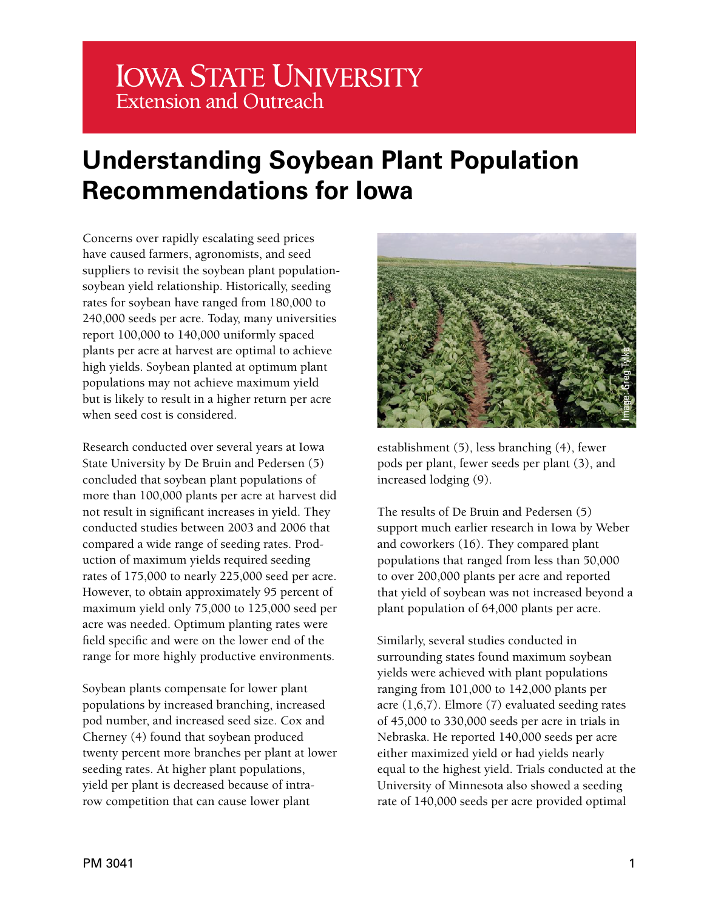## **IOWA STATE UNIVERSITY Extension and Outreach**

# **Understanding Soybean Plant Population Recommendations for Iowa**

Concerns over rapidly escalating seed prices have caused farmers, agronomists, and seed suppliers to revisit the soybean plant populationsoybean yield relationship. Historically, seeding rates for soybean have ranged from 180,000 to 240,000 seeds per acre. Today, many universities report 100,000 to 140,000 uniformly spaced plants per acre at harvest are optimal to achieve high yields. Soybean planted at optimum plant populations may not achieve maximum yield but is likely to result in a higher return per acre when seed cost is considered.

Research conducted over several years at Iowa State University by De Bruin and Pedersen (5) concluded that soybean plant populations of more than 100,000 plants per acre at harvest did not result in significant increases in yield. They conducted studies between 2003 and 2006 that compared a wide range of seeding rates. Production of maximum yields required seeding rates of 175,000 to nearly 225,000 seed per acre. However, to obtain approximately 95 percent of maximum yield only 75,000 to 125,000 seed per acre was needed. Optimum planting rates were field specific and were on the lower end of the range for more highly productive environments.

Soybean plants compensate for lower plant populations by increased branching, increased pod number, and increased seed size. Cox and Cherney (4) found that soybean produced twenty percent more branches per plant at lower seeding rates. At higher plant populations, yield per plant is decreased because of intrarow competition that can cause lower plant



establishment (5), less branching (4), fewer pods per plant, fewer seeds per plant (3), and increased lodging (9).

The results of De Bruin and Pedersen (5) support much earlier research in Iowa by Weber and coworkers (16). They compared plant populations that ranged from less than 50,000 to over 200,000 plants per acre and reported that yield of soybean was not increased beyond a plant population of 64,000 plants per acre.

Similarly, several studies conducted in surrounding states found maximum soybean yields were achieved with plant populations ranging from 101,000 to 142,000 plants per acre (1,6,7). Elmore (7) evaluated seeding rates of 45,000 to 330,000 seeds per acre in trials in Nebraska. He reported 140,000 seeds per acre either maximized yield or had yields nearly equal to the highest yield. Trials conducted at the University of Minnesota also showed a seeding **Example 140, 140**<br> **Example 140, 140**<br> **Example 140, 140**<br> **Example 140, 140**<br> **Example 140, 140**<br> **Example 140, 140**<br> **Example 140, 140**<br> **Example 140, 140**<br> **Example 140, 140**<br> **Example 140**<br> **Example 140**<br> **Example 140**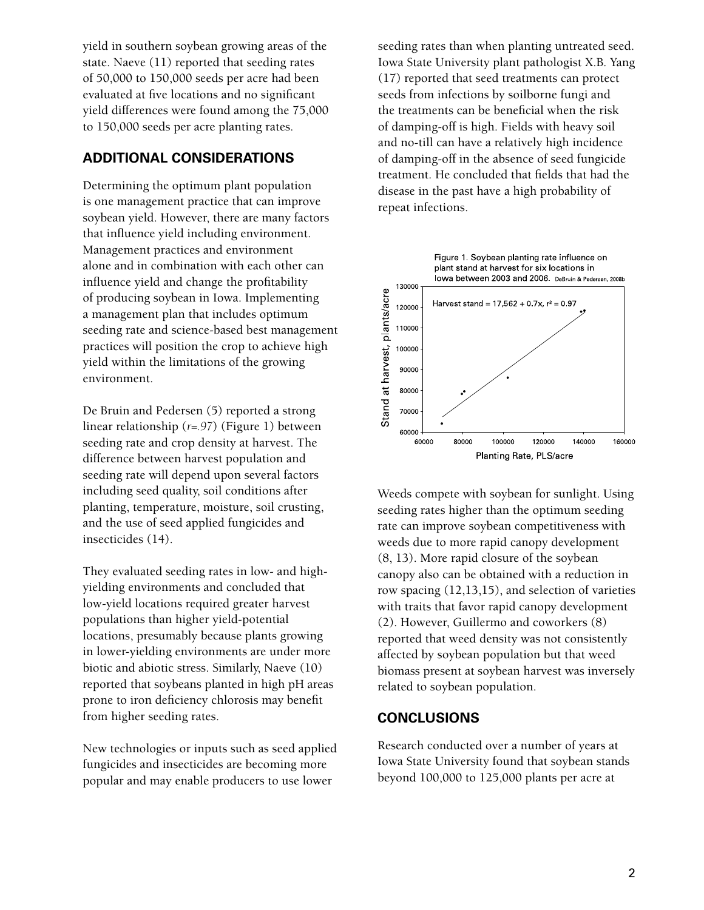yield in southern soybean growing areas of the state. Naeve (11) reported that seeding rates of 50,000 to 150,000 seeds per acre had been evaluated at five locations and no significant yield differences were found among the 75,000 to 150,000 seeds per acre planting rates.

#### **ADDITIONAL CONSIDERATIONS**

Determining the optimum plant population is one management practice that can improve soybean yield. However, there are many factors that influence yield including environment. Management practices and environment alone and in combination with each other can influence yield and change the profitability of producing soybean in Iowa. Implementing a management plan that includes optimum seeding rate and science-based best management practices will position the crop to achieve high yield within the limitations of the growing environment.

De Bruin and Pedersen (5) reported a strong linear relationship (*r=.97*) (Figure 1) between seeding rate and crop density at harvest. The difference between harvest population and seeding rate will depend upon several factors including seed quality, soil conditions after planting, temperature, moisture, soil crusting, and the use of seed applied fungicides and insecticides (14).

They evaluated seeding rates in low- and highyielding environments and concluded that low-yield locations required greater harvest populations than higher yield-potential locations, presumably because plants growing in lower-yielding environments are under more biotic and abiotic stress. Similarly, Naeve (10) reported that soybeans planted in high pH areas prone to iron deficiency chlorosis may benefit from higher seeding rates.

New technologies or inputs such as seed applied fungicides and insecticides are becoming more popular and may enable producers to use lower

seeding rates than when planting untreated seed. Iowa State University plant pathologist X.B. Yang (17) reported that seed treatments can protect seeds from infections by soilborne fungi and the treatments can be beneficial when the risk of damping-off is high. Fields with heavy soil and no-till can have a relatively high incidence of damping-off in the absence of seed fungicide treatment. He concluded that fields that had the disease in the past have a high probability of repeat infections.



Weeds compete with soybean for sunlight. Using seeding rates higher than the optimum seeding rate can improve soybean competitiveness with weeds due to more rapid canopy development (8, 13). More rapid closure of the soybean canopy also can be obtained with a reduction in row spacing (12,13,15), and selection of varieties with traits that favor rapid canopy development (2). However, Guillermo and coworkers (8) reported that weed density was not consistently affected by soybean population but that weed biomass present at soybean harvest was inversely related to soybean population.

#### **CONCLUSIONS**

Research conducted over a number of years at Iowa State University found that soybean stands beyond 100,000 to 125,000 plants per acre at